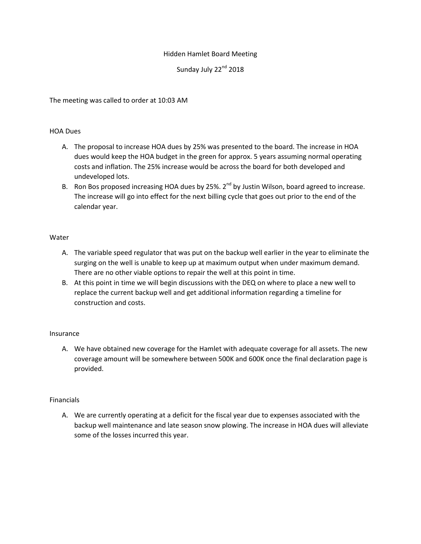# Hidden Hamlet Board Meeting

Sunday July 22<sup>nd</sup> 2018

The meeting was called to order at 10:03 AM

### HOA Dues

- A. The proposal to increase HOA dues by 25% was presented to the board. The increase in HOA dues would keep the HOA budget in the green for approx. 5 years assuming normal operating costs and inflation. The 25% increase would be across the board for both developed and undeveloped lots.
- B. Ron Bos proposed increasing HOA dues by 25%.  $2^{nd}$  by Justin Wilson, board agreed to increase. The increase will go into effect for the next billing cycle that goes out prior to the end of the calendar year.

## Water

- A. The variable speed regulator that was put on the backup well earlier in the year to eliminate the surging on the well is unable to keep up at maximum output when under maximum demand. There are no other viable options to repair the well at this point in time.
- B. At this point in time we will begin discussions with the DEQ on where to place a new well to replace the current backup well and get additional information regarding a timeline for construction and costs.

### Insurance

A. We have obtained new coverage for the Hamlet with adequate coverage for all assets. The new coverage amount will be somewhere between 500K and 600K once the final declaration page is provided.

### Financials

A. We are currently operating at a deficit for the fiscal year due to expenses associated with the backup well maintenance and late season snow plowing. The increase in HOA dues will alleviate some of the losses incurred this year.